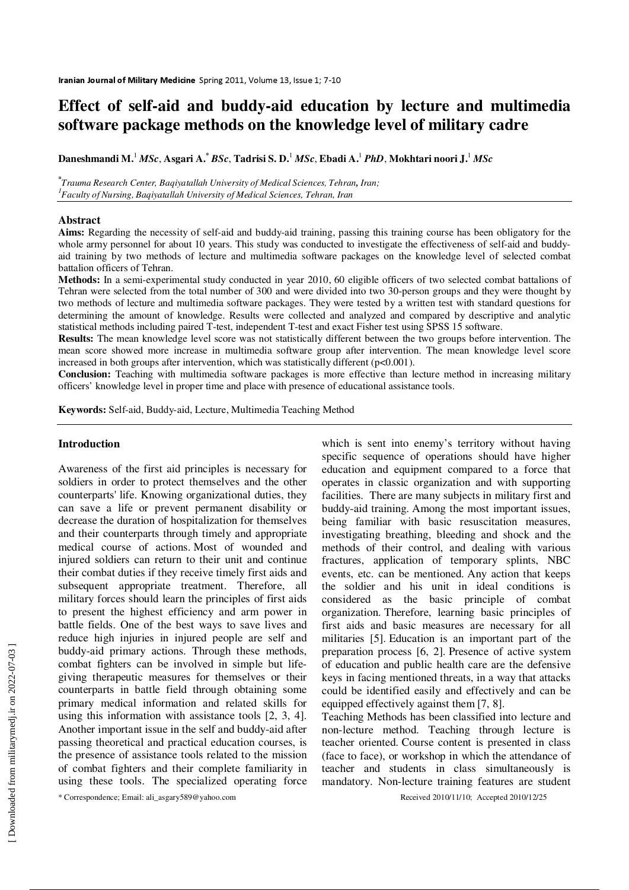# **Effect of self-aid and buddy-aid education by lecture and multimedia software package methods on the knowledge level of military cadre**

**Daneshmandi M.**<sup>1</sup>  *MSc*, **Asgari A.\*** *BSc*, **Tadrisi S. D.**<sup>1</sup> *MSc*, **Ebadi A.**<sup>1</sup> *PhD*, **Mokhtari noori J.**<sup>1</sup> *MSc*

**\*** *Trauma Research Center, Baqiyatallah University of Medical Sciences, Tehran, Iran; 1 Faculty of Nursing, Baqiyatallah University of Medical Sciences, Tehran, Iran*

#### **Abstract**

**Aims:** Regarding the necessity of self-aid and buddy-aid training, passing this training course has been obligatory for the whole army personnel for about 10 years. This study was conducted to investigate the effectiveness of self-aid and buddyaid training by two methods of lecture and multimedia software packages on the knowledge level of selected combat battalion officers of Tehran.

**Methods:** In a semi-experimental study conducted in year 2010, 60 eligible officers of two selected combat battalions of Tehran were selected from the total number of 300 and were divided into two 30-person groups and they were thought by two methods of lecture and multimedia software packages. They were tested by a written test with standard questions for determining the amount of knowledge. Results were collected and analyzed and compared by descriptive and analytic statistical methods including paired T-test, independent T-test and exact Fisher test using SPSS 15 software.

**Results:** The mean knowledge level score was not statistically different between the two groups before intervention. The mean score showed more increase in multimedia software group after intervention. The mean knowledge level score increased in both groups after intervention, which was statistically different (p<0.001).

**Conclusion:** Teaching with multimedia software packages is more effective than lecture method in increasing military officers' knowledge level in proper time and place with presence of educational assistance tools.

**Keywords:** Self-aid, Buddy-aid, Lecture, Multimedia Teaching Method

#### **Introduction**

Awareness of the first aid principles is necessary for soldiers in order to protect themselves and the other counterparts' life. Knowing organizational duties, they can save a life or prevent permanent disability or decrease the duration of hospitalization for themselves and their counterparts through timely and appropriate medical course of actions. Most of wounded and injured soldiers can return to their unit and continue their combat duties if they receive timely first aids and subsequent appropriate treatment. Therefore, all military forces should learn the principles of first aids to present the highest efficiency and arm power in battle fields. One of the best ways to save lives and reduce high injuries in injured people are self and buddy-aid primary actions. Through these methods, combat fighters can be involved in simple but lifegiving therapeutic measures for themselves or their counterparts in battle field through obtaining some primary medical information and related skills for using this information with assistance tools [2, 3, 4]. Another important issue in the self and buddy-aid after passing theoretical and practical education courses, is the presence of assistance tools related to the mission of combat fighters and their complete familiarity in using these tools. The specialized operating force

which is sent into enemy's territory without having specific sequence of operations should have higher education and equipment compared to a force that operates in classic organization and with supporting facilities. There are many subjects in military first and buddy-aid training. Among the most important issues, being familiar with basic resuscitation measures, investigating breathing, bleeding and shock and the methods of their control, and dealing with various fractures, application of temporary splints, NBC events, etc. can be mentioned. Any action that keeps the soldier and his unit in ideal conditions is considered as the basic principle of combat organization. Therefore, learning basic principles of first aids and basic measures are necessary for all militaries [5]. Education is an important part of the preparation process [6, 2]. Presence of active system of education and public health care are the defensive keys in facing mentioned threats, in a way that attacks could be identified easily and effectively and can be equipped effectively against them [7, 8].

Teaching Methods has been classified into lecture and non-lecture method. Teaching through lecture is teacher oriented. Course content is presented in class (face to face), or workshop in which the attendance of teacher and students in class simultaneously is mandatory. Non-lecture training features are student

\* Correspondence; Email: ali\_asgary589@yahoo.com Received 2010/11/10; Accepted 2010/12/25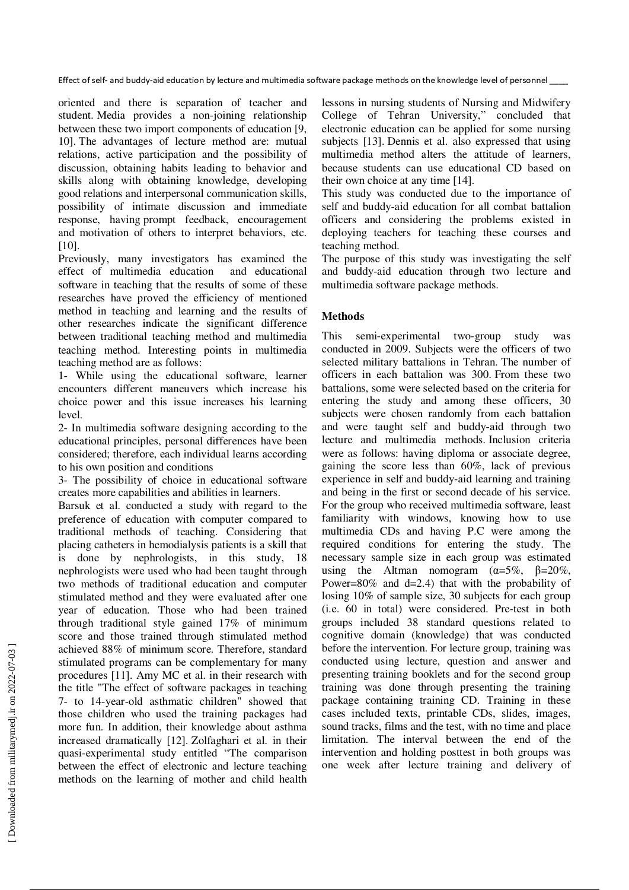Effect of self- and buddy-aid education by lecture and multimedia software package methods on the knowledge level of personnel \_\_\_\_

oriented and there is separation of teacher and student. Media provides a non-joining relationship between these two import components of education [9, 10]. The advantages of lecture method are: mutual relations, active participation and the possibility of discussion, obtaining habits leading to behavior and skills along with obtaining knowledge, developing good relations and interpersonal communication skills, possibility of intimate discussion and immediate response, having prompt feedback, encouragement and motivation of others to interpret behaviors, etc. [10].

Previously, many investigators has examined the effect of multimedia education and educational software in teaching that the results of some of these researches have proved the efficiency of mentioned method in teaching and learning and the results of other researches indicate the significant difference between traditional teaching method and multimedia teaching method. Interesting points in multimedia teaching method are as follows:

1- While using the educational software, learner encounters different maneuvers which increase his choice power and this issue increases his learning level.

2- In multimedia software designing according to the educational principles, personal differences have been considered; therefore, each individual learns according to his own position and conditions

3- The possibility of choice in educational software creates more capabilities and abilities in learners.

Barsuk et al. conducted a study with regard to the preference of education with computer compared to traditional methods of teaching. Considering that placing catheters in hemodialysis patients is a skill that is done by nephrologists, in this study, 18 nephrologists were used who had been taught through two methods of traditional education and computer stimulated method and they were evaluated after one year of education. Those who had been trained through traditional style gained 17% of minimum score and those trained through stimulated method achieved 88% of minimum score. Therefore, standard stimulated programs can be complementary for many procedures [11]. Amy MC et al. in their research with the title "The effect of software packages in teaching 7- to 14-year-old asthmatic children" showed that those children who used the training packages had more fun. In addition, their knowledge about asthma increased dramatically [12]. Zolfaghari et al. in their quasi-experimental study entitled "The comparison between the effect of electronic and lecture teaching methods on the learning of mother and child health

lessons in nursing students of Nursing and Midwifery College of Tehran University," concluded that electronic education can be applied for some nursing subjects [13]. Dennis et al. also expressed that using multimedia method alters the attitude of learners, because students can use educational CD based on their own choice at any time [14].

This study was conducted due to the importance of self and buddy-aid education for all combat battalion officers and considering the problems existed in deploying teachers for teaching these courses and teaching method.

The purpose of this study was investigating the self and buddy-aid education through two lecture and multimedia software package methods.

## **Methods**

This semi-experimental two-group study was conducted in 2009. Subjects were the officers of two selected military battalions in Tehran. The number of officers in each battalion was 300. From these two battalions, some were selected based on the criteria for entering the study and among these officers, 30 subjects were chosen randomly from each battalion and were taught self and buddy-aid through two lecture and multimedia methods. Inclusion criteria were as follows: having diploma or associate degree, gaining the score less than 60%, lack of previous experience in self and buddy-aid learning and training and being in the first or second decade of his service. For the group who received multimedia software, least familiarity with windows, knowing how to use multimedia CDs and having P.C were among the required conditions for entering the study. The necessary sample size in each group was estimated using the Altman nomogram  $(\alpha=5\%, \beta=20\%,$ Power=80% and d=2.4) that with the probability of losing 10% of sample size, 30 subjects for each group (i.e. 60 in total) were considered. Pre-test in both groups included 38 standard questions related to cognitive domain (knowledge) that was conducted before the intervention. For lecture group, training was conducted using lecture, question and answer and presenting training booklets and for the second group training was done through presenting the training package containing training CD. Training in these cases included texts, printable CDs, slides, images, sound tracks, films and the test, with no time and place limitation. The interval between the end of the intervention and holding posttest in both groups was one week after lecture training and delivery of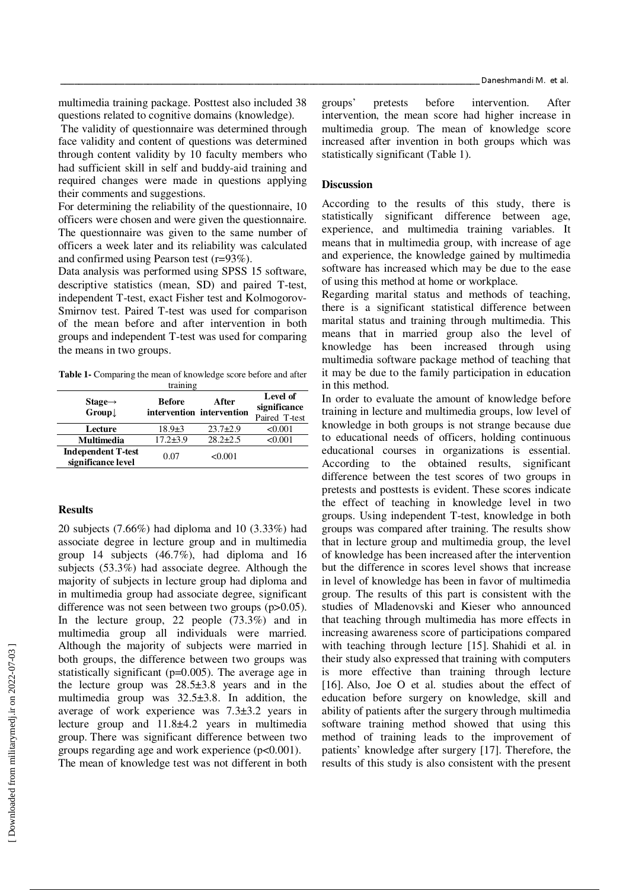multimedia training package. Posttest also included 38 questions related to cognitive domains (knowledge).

 The validity of questionnaire was determined through face validity and content of questions was determined through content validity by 10 faculty members who had sufficient skill in self and buddy-aid training and required changes were made in questions applying their comments and suggestions.

For determining the reliability of the questionnaire, 10 officers were chosen and were given the questionnaire. The questionnaire was given to the same number of officers a week later and its reliability was calculated and confirmed using Pearson test (r=93%).

Data analysis was performed using SPSS 15 software, descriptive statistics (mean, SD) and paired T-test, independent T-test, exact Fisher test and Kolmogorov-Smirnov test. Paired T-test was used for comparison of the mean before and after intervention in both groups and independent T-test was used for comparing the means in two groups.

**Table 1-** Comparing the mean of knowledge score before and after training

| $Stage \rightarrow$<br>$Group\downarrow$        | <b>Before</b>  | After<br>intervention intervention | Level of<br>significance<br>Paired T-test |
|-------------------------------------------------|----------------|------------------------------------|-------------------------------------------|
| Lecture                                         | $18.9{\pm}3$   | $23.7+2.9$                         | < 0.001                                   |
| <b>Multimedia</b>                               | $17.2 \pm 3.9$ | $28.2 + 2.5$                       | < 0.001                                   |
| <b>Independent T-test</b><br>significance level | 0.07           | < 0.001                            |                                           |

### **Results**

20 subjects (7.66%) had diploma and 10 (3.33%) had associate degree in lecture group and in multimedia group 14 subjects (46.7%), had diploma and 16 subjects (53.3%) had associate degree. Although the majority of subjects in lecture group had diploma and in multimedia group had associate degree, significant difference was not seen between two groups (p>0.05). In the lecture group, 22 people (73.3%) and in multimedia group all individuals were married. Although the majority of subjects were married in both groups, the difference between two groups was statistically significant (p=0.005). The average age in the lecture group was  $28.5\pm3.8$  years and in the multimedia group was 32.5±3.8. In addition, the average of work experience was 7.3±3.2 years in lecture group and 11.8±4.2 years in multimedia group. There was significant difference between two groups regarding age and work experience (p<0.001).

The mean of knowledge test was not different in both

groups' pretests before intervention. After intervention, the mean score had higher increase in multimedia group. The mean of knowledge score increased after invention in both groups which was statistically significant (Table 1).

#### **Discussion**

According to the results of this study, there is statistically significant difference between age, experience, and multimedia training variables. It means that in multimedia group, with increase of age and experience, the knowledge gained by multimedia software has increased which may be due to the ease of using this method at home or workplace.

Regarding marital status and methods of teaching, there is a significant statistical difference between marital status and training through multimedia. This means that in married group also the level of knowledge has been increased through using multimedia software package method of teaching that it may be due to the family participation in education in this method.

In order to evaluate the amount of knowledge before training in lecture and multimedia groups, low level of knowledge in both groups is not strange because due to educational needs of officers, holding continuous educational courses in organizations is essential. According to the obtained results, significant difference between the test scores of two groups in pretests and posttests is evident. These scores indicate the effect of teaching in knowledge level in two groups. Using independent T-test, knowledge in both groups was compared after training. The results show that in lecture group and multimedia group, the level of knowledge has been increased after the intervention but the difference in scores level shows that increase in level of knowledge has been in favor of multimedia group. The results of this part is consistent with the studies of Mladenovski and Kieser who announced that teaching through multimedia has more effects in increasing awareness score of participations compared with teaching through lecture [15]. Shahidi et al. in their study also expressed that training with computers is more effective than training through lecture [16]. Also, Joe O et al. studies about the effect of education before surgery on knowledge, skill and ability of patients after the surgery through multimedia software training method showed that using this method of training leads to the improvement of patients' knowledge after surgery [17]. Therefore, the results of this study is also consistent with the present